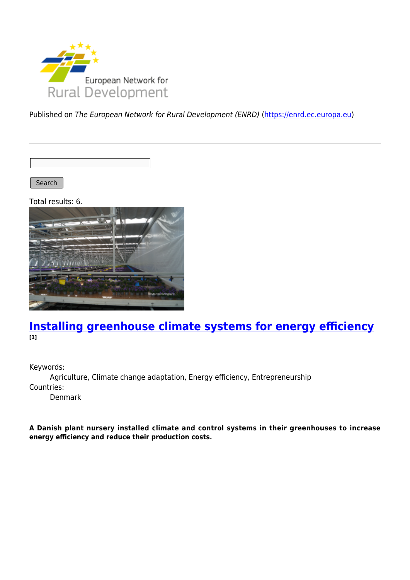

Published on The European Network for Rural Development (ENRD) [\(https://enrd.ec.europa.eu](https://enrd.ec.europa.eu))

Search

Total results: 6.



### **[Installing greenhouse climate systems for energy efficiency](https://enrd.ec.europa.eu/projects-practice/installing-greenhouse-climate-systems-energy-efficiency_en) [1]**

Keywords:

Agriculture, Climate change adaptation, Energy efficiency, Entrepreneurship Countries:

Denmark

**A Danish plant nursery installed climate and control systems in their greenhouses to increase energy efficiency and reduce their production costs.**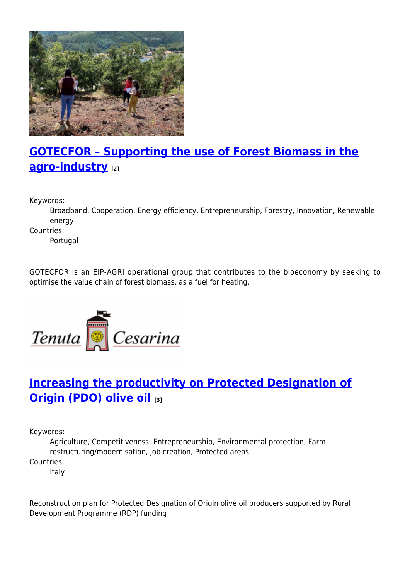

# **[GOTECFOR – Supporting the use of Forest Biomass in the](https://enrd.ec.europa.eu/projects-practice/gotecfor-supporting-use-forest-biomass-agro-industry_en) [agro-industry](https://enrd.ec.europa.eu/projects-practice/gotecfor-supporting-use-forest-biomass-agro-industry_en) [2]**

Keywords:

Broadband, Cooperation, Energy efficiency, Entrepreneurship, Forestry, Innovation, Renewable energy

Countries:

Portugal

GOTECFOR is an EIP-AGRI operational group that contributes to the bioeconomy by seeking to optimise the value chain of forest biomass, as a fuel for heating.



# **[Increasing the productivity on Protected Designation of](https://enrd.ec.europa.eu/projects-practice/increasing-productivity-protected-designation-origin-pdo-olive-oil_en) [Origin \(PDO\) olive oil](https://enrd.ec.europa.eu/projects-practice/increasing-productivity-protected-designation-origin-pdo-olive-oil_en) [3]**

Keywords:

Agriculture, Competitiveness, Entrepreneurship, Environmental protection, Farm restructuring/modernisation, Job creation, Protected areas Countries:

Italy

Reconstruction plan for Protected Designation of Origin olive oil producers supported by Rural Development Programme (RDP) funding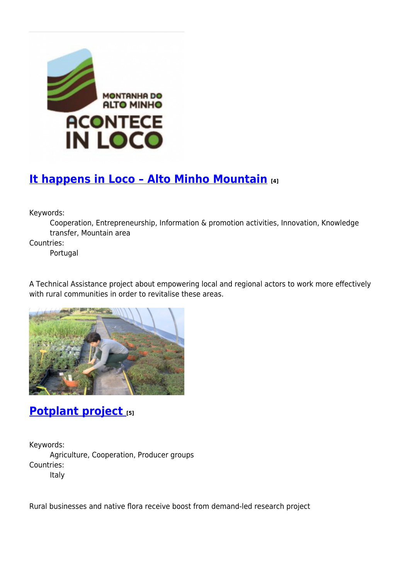

# **[It happens in Loco – Alto Minho Mountain](https://enrd.ec.europa.eu/projects-practice/it-happens-loco-alto-minho-mountain_en) [4]**

Keywords:

Cooperation, Entrepreneurship, Information & promotion activities, Innovation, Knowledge transfer, Mountain area

Countries:

Portugal

A Technical Assistance project about empowering local and regional actors to work more effectively with rural communities in order to revitalise these areas.



## **[Potplant project](https://enrd.ec.europa.eu/projects-practice/potplant-project_en) [5]**

Keywords: Agriculture, Cooperation, Producer groups Countries: Italy

Rural businesses and native flora receive boost from demand-led research project